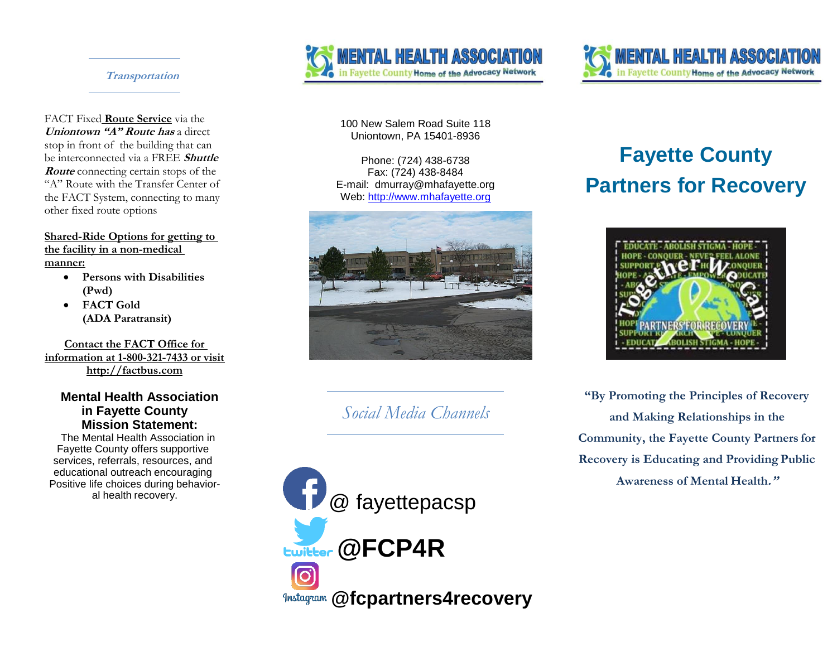#### **Transportation**

FACT Fixed **Route Service** via the **Uniontown "A" Route has** a direct stop in front of the building that can be interconnected via a FREE **Shuttle Route** connecting certain stops of the "A" Route with the Transfer Center of the FACT System, connecting to many other fixed route options

**Shared-Ride Options for getting to the facility in a non-medical manner:**

- **Persons with Disabilities (Pwd)**
- **FACT Gold (ADA Paratransit)**

**Contact the FACT Office for information at 1-800-321-7433 or visit http://factbus.com**

#### **Mental Health Association in Fayette County Mission Statement:**

The Mental Health Association in Fayette County offers supportive services, referrals, resources, and educational outreach encouraging Positive life choices during behavioral health recovery.





100 New Salem Road Suite 118 Uniontown, PA 15401-8936

Phone: (724) 438-6738 Fax: (724) 438-8484 E-mail: dmurray@mhafayette.org Web: [http://www.mhafayette.org](http://www.mhafayette.org/)



*Social Media Channels*



# **Fayette County Partners for Recovery**



**"By Promoting the Principles of Recovery and Making Relationships in the Community, the Fayette County Partners for Recovery is Educating and Providing Public Awareness of Mental Health."**